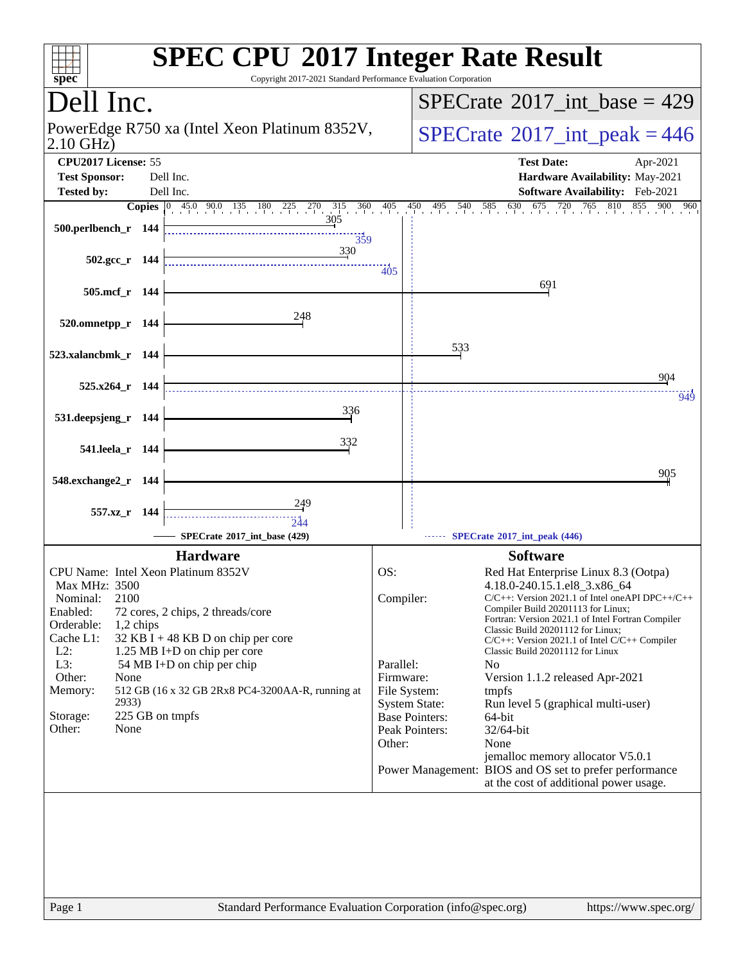| spec <sup>®</sup>                                                                                                                                                                                                                             | <b>SPEC CPU®2017 Integer Rate Result</b><br>Copyright 2017-2021 Standard Performance Evaluation Corporation                                                                                                  |                                                                                              |                                                                                                                                                                                                                                                                                                                                                                                                                                                                                                                                                                                                                                                                                                 |
|-----------------------------------------------------------------------------------------------------------------------------------------------------------------------------------------------------------------------------------------------|--------------------------------------------------------------------------------------------------------------------------------------------------------------------------------------------------------------|----------------------------------------------------------------------------------------------|-------------------------------------------------------------------------------------------------------------------------------------------------------------------------------------------------------------------------------------------------------------------------------------------------------------------------------------------------------------------------------------------------------------------------------------------------------------------------------------------------------------------------------------------------------------------------------------------------------------------------------------------------------------------------------------------------|
| Dell Inc.                                                                                                                                                                                                                                     |                                                                                                                                                                                                              |                                                                                              | $SPECTate$ <sup>®</sup> 2017_int_base = 429                                                                                                                                                                                                                                                                                                                                                                                                                                                                                                                                                                                                                                                     |
| PowerEdge R750 xa (Intel Xeon Platinum 8352V,<br>2.10 GHz)                                                                                                                                                                                    |                                                                                                                                                                                                              |                                                                                              | $SPECrate^{\circ}2017\_int\_peak = 446$                                                                                                                                                                                                                                                                                                                                                                                                                                                                                                                                                                                                                                                         |
| CPU2017 License: 55                                                                                                                                                                                                                           |                                                                                                                                                                                                              |                                                                                              | <b>Test Date:</b><br>Apr-2021                                                                                                                                                                                                                                                                                                                                                                                                                                                                                                                                                                                                                                                                   |
| <b>Test Sponsor:</b>                                                                                                                                                                                                                          | Dell Inc.                                                                                                                                                                                                    |                                                                                              | Hardware Availability: May-2021                                                                                                                                                                                                                                                                                                                                                                                                                                                                                                                                                                                                                                                                 |
| <b>Tested by:</b>                                                                                                                                                                                                                             | Dell Inc.                                                                                                                                                                                                    |                                                                                              | Software Availability: Feb-2021<br>765<br>960                                                                                                                                                                                                                                                                                                                                                                                                                                                                                                                                                                                                                                                   |
| 500.perlbench_r 144                                                                                                                                                                                                                           | <b>Copies</b> $\begin{bmatrix} 0 & 45.0 & 90.0 & 135 & 180 & 225 & 270 & 315 & 360 & 405 \end{bmatrix}$<br>359                                                                                               |                                                                                              | 810<br>450 495 540 585 630 675 720 765<br>855<br>900                                                                                                                                                                                                                                                                                                                                                                                                                                                                                                                                                                                                                                            |
| $502.\text{gcc r}$ 144                                                                                                                                                                                                                        | 330                                                                                                                                                                                                          | 405                                                                                          |                                                                                                                                                                                                                                                                                                                                                                                                                                                                                                                                                                                                                                                                                                 |
| 505.mcf_r 144                                                                                                                                                                                                                                 |                                                                                                                                                                                                              |                                                                                              | 691                                                                                                                                                                                                                                                                                                                                                                                                                                                                                                                                                                                                                                                                                             |
| 520.omnetpp_r 144                                                                                                                                                                                                                             | 248                                                                                                                                                                                                          |                                                                                              |                                                                                                                                                                                                                                                                                                                                                                                                                                                                                                                                                                                                                                                                                                 |
| 523.xalancbmk_r 144                                                                                                                                                                                                                           |                                                                                                                                                                                                              |                                                                                              | 533                                                                                                                                                                                                                                                                                                                                                                                                                                                                                                                                                                                                                                                                                             |
| $525.x264$ r 144                                                                                                                                                                                                                              |                                                                                                                                                                                                              |                                                                                              | 904                                                                                                                                                                                                                                                                                                                                                                                                                                                                                                                                                                                                                                                                                             |
| 531.deepsjeng_r 144                                                                                                                                                                                                                           | 336                                                                                                                                                                                                          |                                                                                              | 949                                                                                                                                                                                                                                                                                                                                                                                                                                                                                                                                                                                                                                                                                             |
|                                                                                                                                                                                                                                               |                                                                                                                                                                                                              |                                                                                              |                                                                                                                                                                                                                                                                                                                                                                                                                                                                                                                                                                                                                                                                                                 |
| 541.leela_r 144                                                                                                                                                                                                                               | 332                                                                                                                                                                                                          |                                                                                              |                                                                                                                                                                                                                                                                                                                                                                                                                                                                                                                                                                                                                                                                                                 |
| 548.exchange2_r<br>- 144                                                                                                                                                                                                                      |                                                                                                                                                                                                              |                                                                                              | 905                                                                                                                                                                                                                                                                                                                                                                                                                                                                                                                                                                                                                                                                                             |
| 557.xz r 144                                                                                                                                                                                                                                  | <u>249</u><br><br>244                                                                                                                                                                                        |                                                                                              |                                                                                                                                                                                                                                                                                                                                                                                                                                                                                                                                                                                                                                                                                                 |
|                                                                                                                                                                                                                                               | SPECrate®2017_int_base (429)                                                                                                                                                                                 |                                                                                              | SPECrate*2017_int_peak (446)                                                                                                                                                                                                                                                                                                                                                                                                                                                                                                                                                                                                                                                                    |
| CPU Name: Intel Xeon Platinum 8352V<br><b>Max MHz: 3500</b><br>2100<br>Nominal:<br>Enabled:<br>Orderable:<br>$1,2$ chips<br>Cache L1:<br>$L2$ :<br>L3:<br>Other:<br>None<br>Memory:<br>2933)<br>225 GB on tmpfs<br>Storage:<br>None<br>Other: | <b>Hardware</b><br>72 cores, 2 chips, 2 threads/core<br>32 KB I + 48 KB D on chip per core<br>1.25 MB I+D on chip per core<br>54 MB I+D on chip per chip<br>512 GB (16 x 32 GB 2Rx8 PC4-3200AA-R, running at | OS:<br>Compiler:<br>Parallel:<br>Firmware:<br>File System:<br><b>System State:</b><br>Other: | <b>Software</b><br>Red Hat Enterprise Linux 8.3 (Ootpa)<br>4.18.0-240.15.1.el8_3.x86_64<br>$C/C++$ : Version 2021.1 of Intel one API DPC++/C++<br>Compiler Build 20201113 for Linux;<br>Fortran: Version 2021.1 of Intel Fortran Compiler<br>Classic Build 20201112 for Linux;<br>$C/C++$ : Version 2021.1 of Intel $C/C++$ Compiler<br>Classic Build 20201112 for Linux<br>N <sub>0</sub><br>Version 1.1.2 released Apr-2021<br>tmpfs<br>Run level 5 (graphical multi-user)<br><b>Base Pointers:</b><br>64-bit<br>Peak Pointers:<br>32/64-bit<br>None<br>jemalloc memory allocator V5.0.1<br>Power Management: BIOS and OS set to prefer performance<br>at the cost of additional power usage. |
|                                                                                                                                                                                                                                               |                                                                                                                                                                                                              |                                                                                              |                                                                                                                                                                                                                                                                                                                                                                                                                                                                                                                                                                                                                                                                                                 |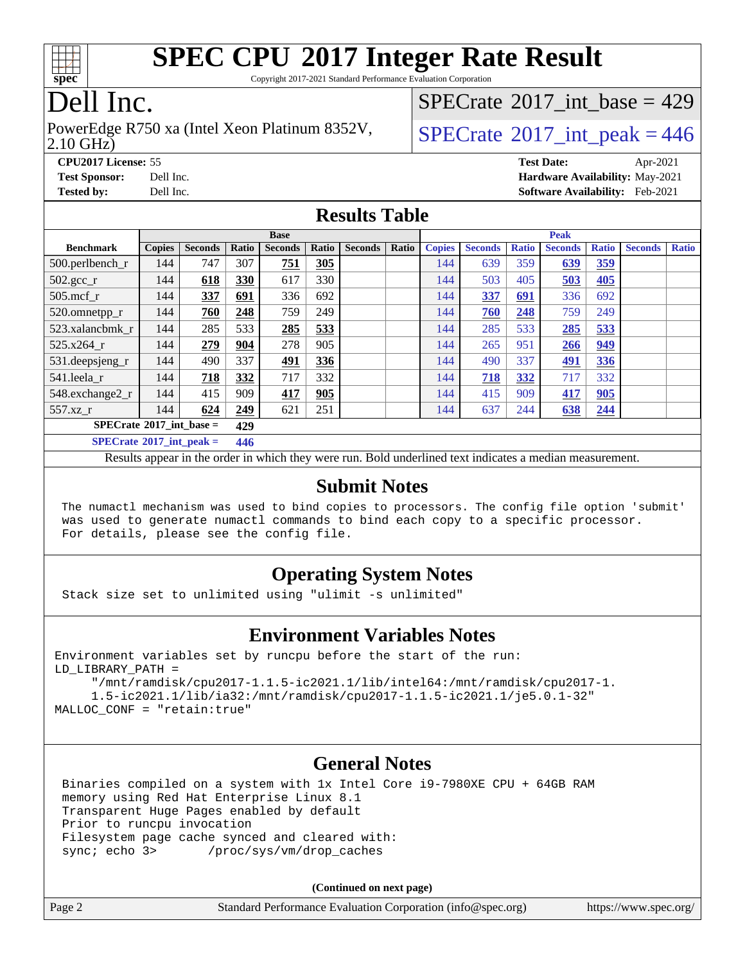

Copyright 2017-2021 Standard Performance Evaluation Corporation

# Dell Inc.

#### 2.10 GHz) PowerEdge R750 xa (Intel Xeon Platinum 8352V,  $\vert$  [SPECrate](http://www.spec.org/auto/cpu2017/Docs/result-fields.html#SPECrate2017intpeak)<sup>®</sup>[2017\\_int\\_peak = 4](http://www.spec.org/auto/cpu2017/Docs/result-fields.html#SPECrate2017intpeak)46

 $SPECrate$ <sup>®</sup>[2017\\_int\\_base =](http://www.spec.org/auto/cpu2017/Docs/result-fields.html#SPECrate2017intbase) 429

**[CPU2017 License:](http://www.spec.org/auto/cpu2017/Docs/result-fields.html#CPU2017License)** 55 **[Test Date:](http://www.spec.org/auto/cpu2017/Docs/result-fields.html#TestDate)** Apr-2021 **[Test Sponsor:](http://www.spec.org/auto/cpu2017/Docs/result-fields.html#TestSponsor)** Dell Inc. **[Hardware Availability:](http://www.spec.org/auto/cpu2017/Docs/result-fields.html#HardwareAvailability)** May-2021 **[Tested by:](http://www.spec.org/auto/cpu2017/Docs/result-fields.html#Testedby)** Dell Inc. **[Software Availability:](http://www.spec.org/auto/cpu2017/Docs/result-fields.html#SoftwareAvailability)** Feb-2021

### **[Results Table](http://www.spec.org/auto/cpu2017/Docs/result-fields.html#ResultsTable)**

|                                     | <b>Base</b>   |                |       |                |       | <b>Peak</b>    |       |               |                |              |                |              |                |              |
|-------------------------------------|---------------|----------------|-------|----------------|-------|----------------|-------|---------------|----------------|--------------|----------------|--------------|----------------|--------------|
| <b>Benchmark</b>                    | <b>Copies</b> | <b>Seconds</b> | Ratio | <b>Seconds</b> | Ratio | <b>Seconds</b> | Ratio | <b>Copies</b> | <b>Seconds</b> | <b>Ratio</b> | <b>Seconds</b> | <b>Ratio</b> | <b>Seconds</b> | <b>Ratio</b> |
| 500.perlbench_r                     | 144           | 747            | 307   | 751            | 305   |                |       | 144           | 639            | 359          | 639            | <u>359</u>   |                |              |
| $502.\text{gcc}_r$                  | 144           | 618            | 330   | 617            | 330   |                |       | 144           | 503            | 405          | 503            | 405          |                |              |
| $505$ .mcf r                        | 144           | 337            | 691   | 336            | 692   |                |       | 144           | 337            | 691          | 336            | 692          |                |              |
| 520.omnetpp_r                       | 144           | 760            | 248   | 759            | 249   |                |       | 144           | 760            | 248          | 759            | 249          |                |              |
| 523.xalancbmk r                     | 144           | 285            | 533   | 285            | 533   |                |       | 144           | 285            | 533          | 285            | 533          |                |              |
| 525.x264 r                          | 144           | 279            | 904   | 278            | 905   |                |       | 144           | 265            | 951          | 266            | 949          |                |              |
| 531.deepsjeng_r                     | 144           | 490            | 337   | <u>491</u>     | 336   |                |       | 144           | 490            | 337          | <u>491</u>     | <u>336</u>   |                |              |
| 541.leela r                         | 144           | 718            | 332   | 717            | 332   |                |       | 144           | 718            | 332          | 717            | 332          |                |              |
| 548.exchange2_r                     | 144           | 415            | 909   | 417            | 905   |                |       | 144           | 415            | 909          | 417            | 905          |                |              |
| 557.xz r                            | 144           | 624            | 249   | 621            | 251   |                |       | 144           | 637            | 244          | 638            | 244          |                |              |
| $SPECrate^{\circ}2017$ int base =   |               |                | 429   |                |       |                |       |               |                |              |                |              |                |              |
| $SPECrate^{\circ}2017\_int\_peak =$ |               |                | 446   |                |       |                |       |               |                |              |                |              |                |              |

Results appear in the [order in which they were run](http://www.spec.org/auto/cpu2017/Docs/result-fields.html#RunOrder). Bold underlined text [indicates a median measurement](http://www.spec.org/auto/cpu2017/Docs/result-fields.html#Median).

### **[Submit Notes](http://www.spec.org/auto/cpu2017/Docs/result-fields.html#SubmitNotes)**

 The numactl mechanism was used to bind copies to processors. The config file option 'submit' was used to generate numactl commands to bind each copy to a specific processor. For details, please see the config file.

### **[Operating System Notes](http://www.spec.org/auto/cpu2017/Docs/result-fields.html#OperatingSystemNotes)**

Stack size set to unlimited using "ulimit -s unlimited"

#### **[Environment Variables Notes](http://www.spec.org/auto/cpu2017/Docs/result-fields.html#EnvironmentVariablesNotes)**

Environment variables set by runcpu before the start of the run: LD\_LIBRARY\_PATH =

 "/mnt/ramdisk/cpu2017-1.1.5-ic2021.1/lib/intel64:/mnt/ramdisk/cpu2017-1. 1.5-ic2021.1/lib/ia32:/mnt/ramdisk/cpu2017-1.1.5-ic2021.1/je5.0.1-32" MALLOC\_CONF = "retain:true"

#### **[General Notes](http://www.spec.org/auto/cpu2017/Docs/result-fields.html#GeneralNotes)**

 Binaries compiled on a system with 1x Intel Core i9-7980XE CPU + 64GB RAM memory using Red Hat Enterprise Linux 8.1 Transparent Huge Pages enabled by default Prior to runcpu invocation Filesystem page cache synced and cleared with: sync; echo 3> /proc/sys/vm/drop\_caches

**(Continued on next page)**

| Page 2 | Standard Performance Evaluation Corporation (info@spec.org) | https://www.spec.org/ |
|--------|-------------------------------------------------------------|-----------------------|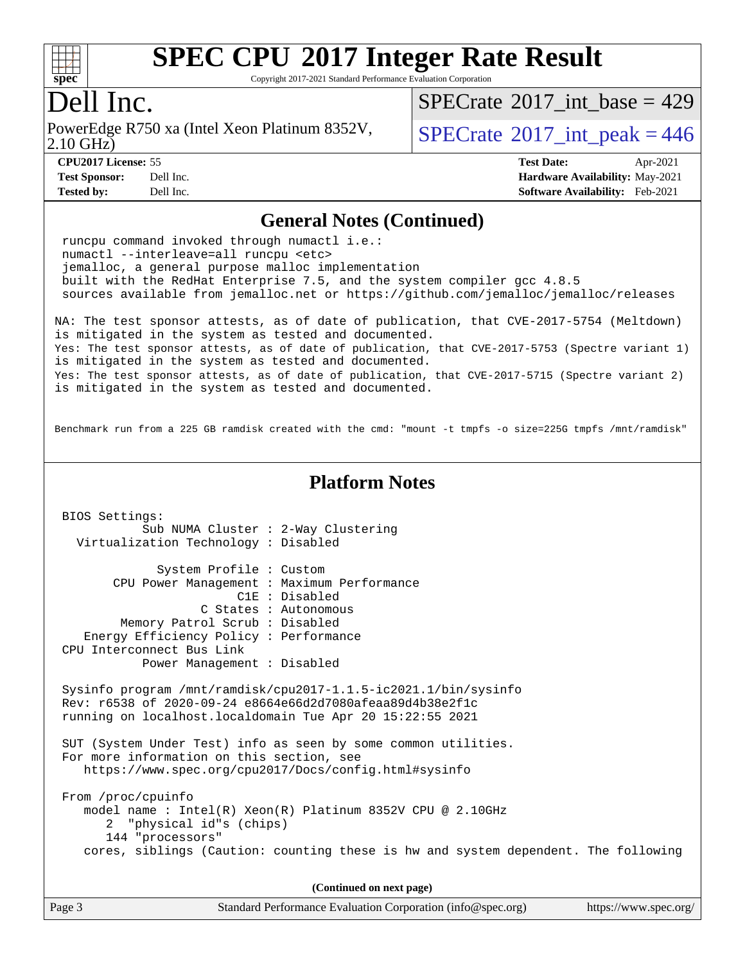

Copyright 2017-2021 Standard Performance Evaluation Corporation

### Dell Inc.

2.10 GHz) PowerEdge R750 xa (Intel Xeon Platinum 8352V,  $\vert$  [SPECrate](http://www.spec.org/auto/cpu2017/Docs/result-fields.html#SPECrate2017intpeak)<sup>®</sup>[2017\\_int\\_peak = 4](http://www.spec.org/auto/cpu2017/Docs/result-fields.html#SPECrate2017intpeak)46

 $SPECTate@2017_int\_base = 429$ 

**[CPU2017 License:](http://www.spec.org/auto/cpu2017/Docs/result-fields.html#CPU2017License)** 55 **[Test Date:](http://www.spec.org/auto/cpu2017/Docs/result-fields.html#TestDate)** Apr-2021

#### **[Test Sponsor:](http://www.spec.org/auto/cpu2017/Docs/result-fields.html#TestSponsor)** Dell Inc. **[Hardware Availability:](http://www.spec.org/auto/cpu2017/Docs/result-fields.html#HardwareAvailability)** May-2021 **[Tested by:](http://www.spec.org/auto/cpu2017/Docs/result-fields.html#Testedby)** Dell Inc. **[Software Availability:](http://www.spec.org/auto/cpu2017/Docs/result-fields.html#SoftwareAvailability)** Feb-2021

#### **[General Notes \(Continued\)](http://www.spec.org/auto/cpu2017/Docs/result-fields.html#GeneralNotes)**

 runcpu command invoked through numactl i.e.: numactl --interleave=all runcpu <etc> jemalloc, a general purpose malloc implementation built with the RedHat Enterprise 7.5, and the system compiler gcc 4.8.5 sources available from jemalloc.net or <https://github.com/jemalloc/jemalloc/releases> NA: The test sponsor attests, as of date of publication, that CVE-2017-5754 (Meltdown) is mitigated in the system as tested and documented. Yes: The test sponsor attests, as of date of publication, that CVE-2017-5753 (Spectre variant 1) is mitigated in the system as tested and documented. Yes: The test sponsor attests, as of date of publication, that CVE-2017-5715 (Spectre variant 2) is mitigated in the system as tested and documented. Benchmark run from a 225 GB ramdisk created with the cmd: "mount -t tmpfs -o size=225G tmpfs /mnt/ramdisk" **[Platform Notes](http://www.spec.org/auto/cpu2017/Docs/result-fields.html#PlatformNotes)** BIOS Settings: Sub NUMA Cluster : 2-Way Clustering Virtualization Technology : Disabled System Profile : Custom CPU Power Management : Maximum Performance C1E : Disabled C States : Autonomous Memory Patrol Scrub : Disabled Energy Efficiency Policy : Performance CPU Interconnect Bus Link Power Management : Disabled Sysinfo program /mnt/ramdisk/cpu2017-1.1.5-ic2021.1/bin/sysinfo Rev: r6538 of 2020-09-24 e8664e66d2d7080afeaa89d4b38e2f1c running on localhost.localdomain Tue Apr 20 15:22:55 2021 SUT (System Under Test) info as seen by some common utilities. For more information on this section, see <https://www.spec.org/cpu2017/Docs/config.html#sysinfo> From /proc/cpuinfo model name : Intel(R) Xeon(R) Platinum 8352V CPU @ 2.10GHz 2 "physical id"s (chips) 144 "processors" cores, siblings (Caution: counting these is hw and system dependent. The following

**(Continued on next page)**

| Page 3 | Standard Performance Evaluation Corporation (info@spec.org) | https://www.spec.org/ |
|--------|-------------------------------------------------------------|-----------------------|
|--------|-------------------------------------------------------------|-----------------------|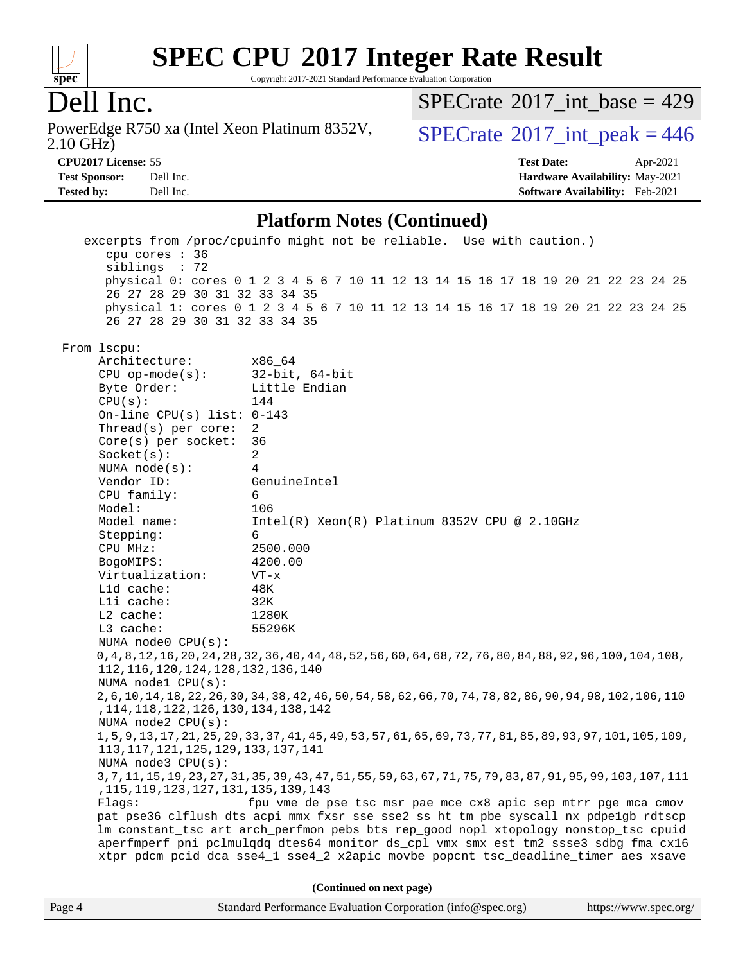

Copyright 2017-2021 Standard Performance Evaluation Corporation

## Dell Inc.

2.10 GHz) PowerEdge R750 xa (Intel Xeon Platinum 8352V,  $\vert$  [SPECrate](http://www.spec.org/auto/cpu2017/Docs/result-fields.html#SPECrate2017intpeak)<sup>®</sup>[2017\\_int\\_peak = 4](http://www.spec.org/auto/cpu2017/Docs/result-fields.html#SPECrate2017intpeak)46

 $SPECTate$ <sup>®</sup>[2017\\_int\\_base =](http://www.spec.org/auto/cpu2017/Docs/result-fields.html#SPECrate2017intbase) 429

**[CPU2017 License:](http://www.spec.org/auto/cpu2017/Docs/result-fields.html#CPU2017License)** 55 **[Test Date:](http://www.spec.org/auto/cpu2017/Docs/result-fields.html#TestDate)** Apr-2021 **[Test Sponsor:](http://www.spec.org/auto/cpu2017/Docs/result-fields.html#TestSponsor)** Dell Inc. **[Hardware Availability:](http://www.spec.org/auto/cpu2017/Docs/result-fields.html#HardwareAvailability)** May-2021 **[Tested by:](http://www.spec.org/auto/cpu2017/Docs/result-fields.html#Testedby)** Dell Inc. **[Software Availability:](http://www.spec.org/auto/cpu2017/Docs/result-fields.html#SoftwareAvailability)** Feb-2021

#### **[Platform Notes \(Continued\)](http://www.spec.org/auto/cpu2017/Docs/result-fields.html#PlatformNotes)**

 excerpts from /proc/cpuinfo might not be reliable. Use with caution.) cpu cores : 36 siblings : 72 physical 0: cores 0 1 2 3 4 5 6 7 10 11 12 13 14 15 16 17 18 19 20 21 22 23 24 25 26 27 28 29 30 31 32 33 34 35 physical 1: cores 0 1 2 3 4 5 6 7 10 11 12 13 14 15 16 17 18 19 20 21 22 23 24 25 26 27 28 29 30 31 32 33 34 35 From lscpu: Architecture: x86\_64 CPU op-mode(s): 32-bit, 64-bit Byte Order: Little Endian  $CPU(s):$  144 On-line CPU(s) list: 0-143 Thread(s) per core: 2 Core(s) per socket: 36 Socket(s): 2 NUMA node(s): 4 Vendor ID: GenuineIntel CPU family: 6 Model: 106 Model name: Intel(R) Xeon(R) Platinum 8352V CPU @ 2.10GHz Stepping: 6 CPU MHz: 2500.000 BogoMIPS: 4200.00 Virtualization: VT-x L1d cache: 48K L1i cache: 32K L2 cache: 1280K L3 cache: 55296K NUMA node0 CPU(s): 0,4,8,12,16,20,24,28,32,36,40,44,48,52,56,60,64,68,72,76,80,84,88,92,96,100,104,108, 112,116,120,124,128,132,136,140 NUMA node1 CPU(s): 2,6,10,14,18,22,26,30,34,38,42,46,50,54,58,62,66,70,74,78,82,86,90,94,98,102,106,110 ,114,118,122,126,130,134,138,142 NUMA node2 CPU(s): 1,5,9,13,17,21,25,29,33,37,41,45,49,53,57,61,65,69,73,77,81,85,89,93,97,101,105,109, 113,117,121,125,129,133,137,141 NUMA node3 CPU(s): 3,7,11,15,19,23,27,31,35,39,43,47,51,55,59,63,67,71,75,79,83,87,91,95,99,103,107,111 ,115,119,123,127,131,135,139,143 Flags: fpu vme de pse tsc msr pae mce cx8 apic sep mtrr pge mca cmov pat pse36 clflush dts acpi mmx fxsr sse sse2 ss ht tm pbe syscall nx pdpe1gb rdtscp lm constant\_tsc art arch\_perfmon pebs bts rep\_good nopl xtopology nonstop\_tsc cpuid aperfmperf pni pclmulqdq dtes64 monitor ds\_cpl vmx smx est tm2 ssse3 sdbg fma cx16 xtpr pdcm pcid dca sse4\_1 sse4\_2 x2apic movbe popcnt tsc\_deadline\_timer aes xsave **(Continued on next page)**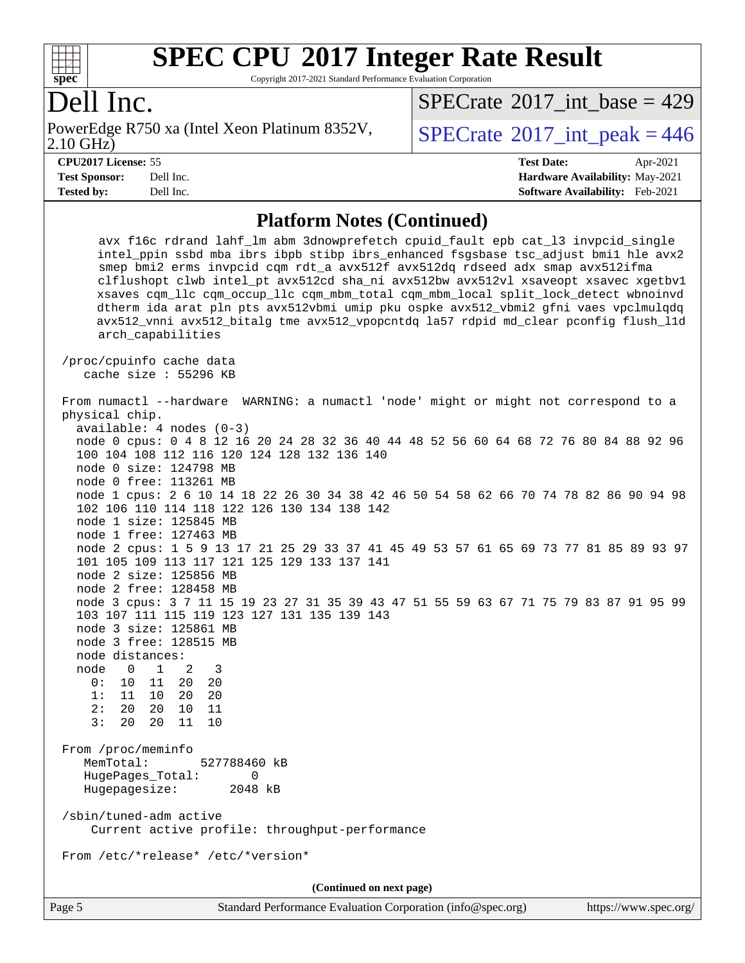

Copyright 2017-2021 Standard Performance Evaluation Corporation

### Dell Inc.

2.10 GHz) PowerEdge R750 xa (Intel Xeon Platinum 8352V,  $\vert$  [SPECrate](http://www.spec.org/auto/cpu2017/Docs/result-fields.html#SPECrate2017intpeak)<sup>®</sup>[2017\\_int\\_peak = 4](http://www.spec.org/auto/cpu2017/Docs/result-fields.html#SPECrate2017intpeak)46

 $SPECTate$ <sup>®</sup>[2017\\_int\\_base =](http://www.spec.org/auto/cpu2017/Docs/result-fields.html#SPECrate2017intbase) 429

**[Tested by:](http://www.spec.org/auto/cpu2017/Docs/result-fields.html#Testedby)** Dell Inc. **[Software Availability:](http://www.spec.org/auto/cpu2017/Docs/result-fields.html#SoftwareAvailability)** Feb-2021

**[CPU2017 License:](http://www.spec.org/auto/cpu2017/Docs/result-fields.html#CPU2017License)** 55 **[Test Date:](http://www.spec.org/auto/cpu2017/Docs/result-fields.html#TestDate)** Apr-2021 **[Test Sponsor:](http://www.spec.org/auto/cpu2017/Docs/result-fields.html#TestSponsor)** Dell Inc. **[Hardware Availability:](http://www.spec.org/auto/cpu2017/Docs/result-fields.html#HardwareAvailability)** May-2021

#### **[Platform Notes \(Continued\)](http://www.spec.org/auto/cpu2017/Docs/result-fields.html#PlatformNotes)**

avx f16c rdrand lahf lm abm 3dnowprefetch cpuid fault epb cat 13 invpcid single intel\_ppin ssbd mba ibrs ibpb stibp ibrs\_enhanced fsgsbase tsc\_adjust bmi1 hle avx2 smep bmi2 erms invpcid cqm rdt\_a avx512f avx512dq rdseed adx smap avx512ifma clflushopt clwb intel\_pt avx512cd sha\_ni avx512bw avx512vl xsaveopt xsavec xgetbv1 xsaves cqm\_llc cqm\_occup\_llc cqm\_mbm\_total cqm\_mbm\_local split\_lock\_detect wbnoinvd dtherm ida arat pln pts avx512vbmi umip pku ospke avx512\_vbmi2 gfni vaes vpclmulqdq avx512\_vnni avx512\_bitalg tme avx512\_vpopcntdq la57 rdpid md\_clear pconfig flush\_l1d arch\_capabilities /proc/cpuinfo cache data cache size : 55296 KB From numactl --hardware WARNING: a numactl 'node' might or might not correspond to a physical chip. available: 4 nodes (0-3) node 0 cpus: 0 4 8 12 16 20 24 28 32 36 40 44 48 52 56 60 64 68 72 76 80 84 88 92 96 100 104 108 112 116 120 124 128 132 136 140 node 0 size: 124798 MB node 0 free: 113261 MB node 1 cpus: 2 6 10 14 18 22 26 30 34 38 42 46 50 54 58 62 66 70 74 78 82 86 90 94 98 102 106 110 114 118 122 126 130 134 138 142 node 1 size: 125845 MB node 1 free: 127463 MB node 2 cpus: 1 5 9 13 17 21 25 29 33 37 41 45 49 53 57 61 65 69 73 77 81 85 89 93 97 101 105 109 113 117 121 125 129 133 137 141 node 2 size: 125856 MB node 2 free: 128458 MB node 3 cpus: 3 7 11 15 19 23 27 31 35 39 43 47 51 55 59 63 67 71 75 79 83 87 91 95 99 103 107 111 115 119 123 127 131 135 139 143 node 3 size: 125861 MB node 3 free: 128515 MB node distances: node 0 1 2 3 0: 10 11 20 20 1: 11 10 20 20 2: 20 20 10 11 3: 20 20 11 10 From /proc/meminfo MemTotal: 527788460 kB HugePages\_Total: 0 Hugepagesize: 2048 kB /sbin/tuned-adm active Current active profile: throughput-performance From /etc/\*release\* /etc/\*version\* **(Continued on next page)**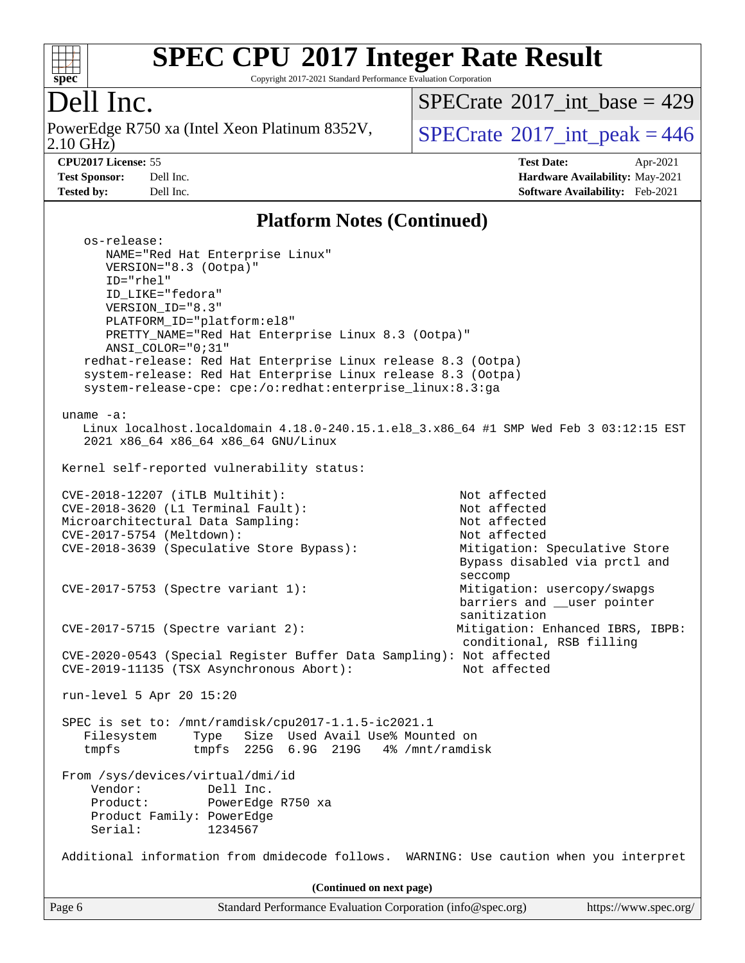

Copyright 2017-2021 Standard Performance Evaluation Corporation

# Dell Inc.

2.10 GHz) PowerEdge R750 xa (Intel Xeon Platinum 8352V,  $\big|$  [SPECrate](http://www.spec.org/auto/cpu2017/Docs/result-fields.html#SPECrate2017intpeak)<sup>®</sup>[2017\\_int\\_peak = 4](http://www.spec.org/auto/cpu2017/Docs/result-fields.html#SPECrate2017intpeak)46

 $SPECrate$ <sup>®</sup>[2017\\_int\\_base =](http://www.spec.org/auto/cpu2017/Docs/result-fields.html#SPECrate2017intbase) 429

**[CPU2017 License:](http://www.spec.org/auto/cpu2017/Docs/result-fields.html#CPU2017License)** 55 **[Test Date:](http://www.spec.org/auto/cpu2017/Docs/result-fields.html#TestDate)** Apr-2021 **[Test Sponsor:](http://www.spec.org/auto/cpu2017/Docs/result-fields.html#TestSponsor)** Dell Inc. **[Hardware Availability:](http://www.spec.org/auto/cpu2017/Docs/result-fields.html#HardwareAvailability)** May-2021 **[Tested by:](http://www.spec.org/auto/cpu2017/Docs/result-fields.html#Testedby)** Dell Inc. **[Software Availability:](http://www.spec.org/auto/cpu2017/Docs/result-fields.html#SoftwareAvailability)** Feb-2021

### **[Platform Notes \(Continued\)](http://www.spec.org/auto/cpu2017/Docs/result-fields.html#PlatformNotes)**

| Standard Performance Evaluation Corporation (info@spec.org)<br>Page 6                                                                                                                                                                                                                                                                      | https://www.spec.org/                                                                                          |
|--------------------------------------------------------------------------------------------------------------------------------------------------------------------------------------------------------------------------------------------------------------------------------------------------------------------------------------------|----------------------------------------------------------------------------------------------------------------|
| (Continued on next page)                                                                                                                                                                                                                                                                                                                   |                                                                                                                |
| Additional information from dmidecode follows. WARNING: Use caution when you interpret                                                                                                                                                                                                                                                     |                                                                                                                |
| From /sys/devices/virtual/dmi/id<br>Vendor:<br>Dell Inc.<br>Product:<br>PowerEdge R750 xa<br>Product Family: PowerEdge<br>Serial:<br>1234567                                                                                                                                                                                               |                                                                                                                |
| SPEC is set to: /mnt/ramdisk/cpu2017-1.1.5-ic2021.1<br>Size Used Avail Use% Mounted on<br>Filesystem<br>Type<br>tmpfs 225G 6.9G 219G 4% /mnt/ramdisk<br>tmpfs                                                                                                                                                                              |                                                                                                                |
| run-level 5 Apr 20 15:20                                                                                                                                                                                                                                                                                                                   |                                                                                                                |
| CVE-2020-0543 (Special Register Buffer Data Sampling): Not affected<br>CVE-2019-11135 (TSX Asynchronous Abort):                                                                                                                                                                                                                            | conditional, RSB filling<br>Not affected                                                                       |
| CVE-2017-5753 (Spectre variant 1):<br>$CVE-2017-5715$ (Spectre variant 2):                                                                                                                                                                                                                                                                 | Mitigation: usercopy/swapgs<br>barriers and __user pointer<br>sanitization<br>Mitigation: Enhanced IBRS, IBPB: |
|                                                                                                                                                                                                                                                                                                                                            | Bypass disabled via prctl and<br>seccomp                                                                       |
| CVE-2017-5754 (Meltdown):<br>CVE-2018-3639 (Speculative Store Bypass):                                                                                                                                                                                                                                                                     | Not affected<br>Mitigation: Speculative Store                                                                  |
| Microarchitectural Data Sampling:                                                                                                                                                                                                                                                                                                          | Not affected                                                                                                   |
| CVE-2018-3620 (L1 Terminal Fault):                                                                                                                                                                                                                                                                                                         | Not affected                                                                                                   |
| CVE-2018-12207 (iTLB Multihit):                                                                                                                                                                                                                                                                                                            | Not affected                                                                                                   |
| 2021 x86_64 x86_64 x86_64 GNU/Linux<br>Kernel self-reported vulnerability status:                                                                                                                                                                                                                                                          |                                                                                                                |
| uname $-a$ :<br>Linux localhost.localdomain 4.18.0-240.15.1.el8_3.x86_64 #1 SMP Wed Feb 3 03:12:15 EST                                                                                                                                                                                                                                     |                                                                                                                |
| ID_LIKE="fedora"<br>VERSION ID="8.3"<br>PLATFORM_ID="platform:el8"<br>PRETTY_NAME="Red Hat Enterprise Linux 8.3 (Ootpa)"<br>ANSI_COLOR="0;31"<br>redhat-release: Red Hat Enterprise Linux release 8.3 (Ootpa)<br>system-release: Red Hat Enterprise Linux release 8.3 (Ootpa)<br>system-release-cpe: cpe:/o:redhat:enterprise_linux:8.3:ga |                                                                                                                |
| os-release:<br>NAME="Red Hat Enterprise Linux"<br>VERSION="8.3 (Ootpa)"<br>$ID="rhe1"$                                                                                                                                                                                                                                                     |                                                                                                                |
|                                                                                                                                                                                                                                                                                                                                            |                                                                                                                |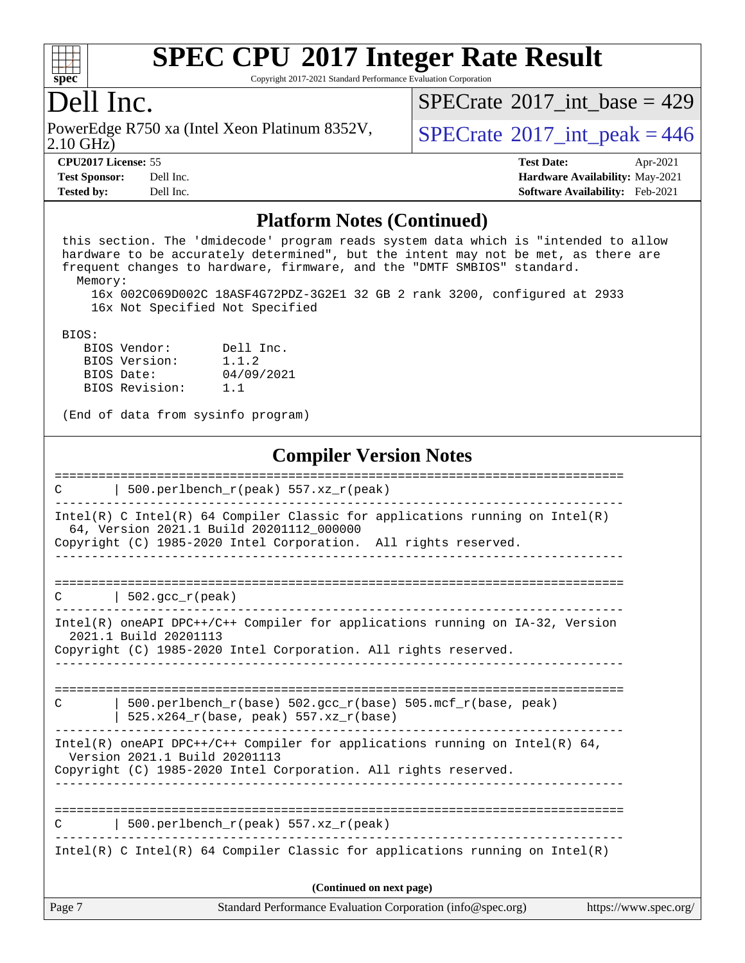

Copyright 2017-2021 Standard Performance Evaluation Corporation

### Dell Inc.

2.10 GHz) PowerEdge R750 xa (Intel Xeon Platinum 8352V,  $\vert$  [SPECrate](http://www.spec.org/auto/cpu2017/Docs/result-fields.html#SPECrate2017intpeak)<sup>®</sup>[2017\\_int\\_peak = 4](http://www.spec.org/auto/cpu2017/Docs/result-fields.html#SPECrate2017intpeak)46

 $SPECTate@2017_int\_base = 429$ 

**[Tested by:](http://www.spec.org/auto/cpu2017/Docs/result-fields.html#Testedby)** Dell Inc. **[Software Availability:](http://www.spec.org/auto/cpu2017/Docs/result-fields.html#SoftwareAvailability)** Feb-2021

**[CPU2017 License:](http://www.spec.org/auto/cpu2017/Docs/result-fields.html#CPU2017License)** 55 **[Test Date:](http://www.spec.org/auto/cpu2017/Docs/result-fields.html#TestDate)** Apr-2021 **[Test Sponsor:](http://www.spec.org/auto/cpu2017/Docs/result-fields.html#TestSponsor)** Dell Inc. **[Hardware Availability:](http://www.spec.org/auto/cpu2017/Docs/result-fields.html#HardwareAvailability)** May-2021

#### **[Platform Notes \(Continued\)](http://www.spec.org/auto/cpu2017/Docs/result-fields.html#PlatformNotes)**

 this section. The 'dmidecode' program reads system data which is "intended to allow hardware to be accurately determined", but the intent may not be met, as there are frequent changes to hardware, firmware, and the "DMTF SMBIOS" standard. Memory: 16x 002C069D002C 18ASF4G72PDZ-3G2E1 32 GB 2 rank 3200, configured at 2933 16x Not Specified Not Specified

#### BIOS:

 BIOS Vendor: Dell Inc. BIOS Version: 1.1.2 BIOS Date: 04/09/2021 BIOS Revision: 1.1

(End of data from sysinfo program)

#### **[Compiler Version Notes](http://www.spec.org/auto/cpu2017/Docs/result-fields.html#CompilerVersionNotes)**

| $500. perlbench_r (peak) 557. xz_r (peak)$                                                                                 |
|----------------------------------------------------------------------------------------------------------------------------|
| $Intel(R)$ C Intel(R) 64 Compiler Classic for applications running on Intel(R)<br>64, Version 2021.1 Build 20201112 000000 |
| Copyright (C) 1985-2020 Intel Corporation. All rights reserved.<br>----------------------------------                      |
|                                                                                                                            |
| 502.gcc $r(\text{peak})$<br>C                                                                                              |
| $Intel(R)$ oneAPI DPC++/C++ Compiler for applications running on $IA-32$ , Version<br>2021.1 Build 20201113                |
| Copyright (C) 1985-2020 Intel Corporation. All rights reserved.                                                            |
|                                                                                                                            |
| 500.perlbench $r(base)$ 502.qcc $r(base)$ 505.mcf $r(base, peak)$<br>C<br>$525.x264_r(base, peak) 557.xz_r(base)$          |
| Intel(R) oneAPI DPC++/C++ Compiler for applications running on Intel(R) $64$ ,<br>Version 2021.1 Build 20201113            |
| Copyright (C) 1985-2020 Intel Corporation. All rights reserved.                                                            |
|                                                                                                                            |
| $500. perlbench_r (peak) 557. xz_r (peak)$<br>C                                                                            |
| Intel(R) C Intel(R) 64 Compiler Classic for applications running on Intel(R)                                               |
| (Continued on next page)                                                                                                   |
| Page 7<br>Standard Performance Evaluation Corporation (info@spec.org)<br>https://www.spec.org/                             |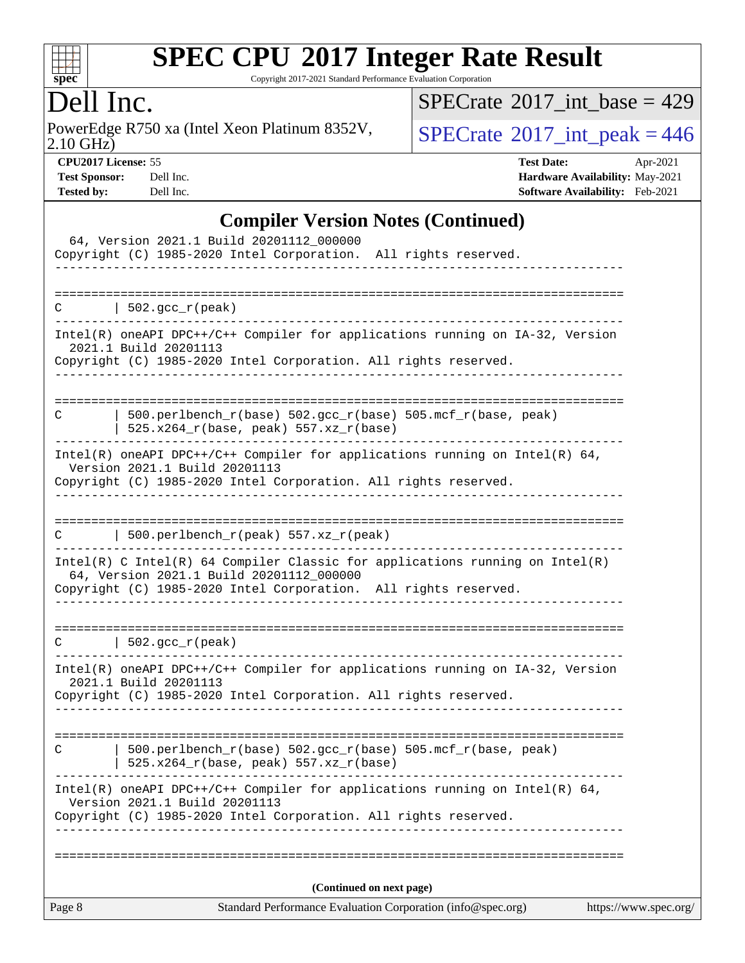

Copyright 2017-2021 Standard Performance Evaluation Corporation

# Dell Inc.

2.10 GHz) PowerEdge R750 xa (Intel Xeon Platinum 8352V,  $\big|$  [SPECrate](http://www.spec.org/auto/cpu2017/Docs/result-fields.html#SPECrate2017intpeak)<sup>®</sup>[2017\\_int\\_peak = 4](http://www.spec.org/auto/cpu2017/Docs/result-fields.html#SPECrate2017intpeak)46

 $SPECrate$ <sup>®</sup>[2017\\_int\\_base =](http://www.spec.org/auto/cpu2017/Docs/result-fields.html#SPECrate2017intbase) 429

**[CPU2017 License:](http://www.spec.org/auto/cpu2017/Docs/result-fields.html#CPU2017License)** 55 **[Test Date:](http://www.spec.org/auto/cpu2017/Docs/result-fields.html#TestDate)** Apr-2021 **[Test Sponsor:](http://www.spec.org/auto/cpu2017/Docs/result-fields.html#TestSponsor)** Dell Inc. **[Hardware Availability:](http://www.spec.org/auto/cpu2017/Docs/result-fields.html#HardwareAvailability)** May-2021 **[Tested by:](http://www.spec.org/auto/cpu2017/Docs/result-fields.html#Testedby)** Dell Inc. **[Software Availability:](http://www.spec.org/auto/cpu2017/Docs/result-fields.html#SoftwareAvailability)** Feb-2021

### **[Compiler Version Notes \(Continued\)](http://www.spec.org/auto/cpu2017/Docs/result-fields.html#CompilerVersionNotes)**

|        | 64, Version 2021.1 Build 20201112_000000<br>Copyright (C) 1985-2020 Intel Corporation. All rights reserved.                                                                                   |                       |
|--------|-----------------------------------------------------------------------------------------------------------------------------------------------------------------------------------------------|-----------------------|
| C      | $\vert$ 502.gcc_r(peak)                                                                                                                                                                       |                       |
|        | Intel(R) oneAPI DPC++/C++ Compiler for applications running on IA-32, Version<br>2021.1 Build 20201113<br>Copyright (C) 1985-2020 Intel Corporation. All rights reserved.                     |                       |
| C      | $500. perlbench_r(base) 502. gcc_r(base) 505.mcf_r(base, peak)$<br>$525.x264_r(base, peak) 557.xz_r(base)$                                                                                    |                       |
|        | $Intel(R)$ oneAPI DPC++/C++ Compiler for applications running on Intel(R) 64,<br>Version 2021.1 Build 20201113<br>Copyright (C) 1985-2020 Intel Corporation. All rights reserved.             |                       |
| C      | 500.perlbench_r(peak) 557.xz_r(peak)                                                                                                                                                          |                       |
|        | $Intel(R)$ C Intel(R) 64 Compiler Classic for applications running on Intel(R)<br>64, Version 2021.1 Build 20201112_000000<br>Copyright (C) 1985-2020 Intel Corporation. All rights reserved. |                       |
| C      | 502.gcc_r(peak)                                                                                                                                                                               |                       |
|        | Intel(R) oneAPI DPC++/C++ Compiler for applications running on IA-32, Version<br>2021.1 Build 20201113<br>Copyright (C) 1985-2020 Intel Corporation. All rights reserved.                     |                       |
| C      | 500.perlbench_r(base) 502.gcc_r(base) 505.mcf_r(base, peak)<br>$525.x264_r(base, peak) 557.xz_r(base)$                                                                                        |                       |
|        | Intel(R) oneAPI DPC++/C++ Compiler for applications running on Intel(R) $64$ ,<br>Version 2021.1 Build 20201113<br>Copyright (C) 1985-2020 Intel Corporation. All rights reserved.            |                       |
|        | (Continued on next page)                                                                                                                                                                      |                       |
| Page 8 | Standard Performance Evaluation Corporation (info@spec.org)                                                                                                                                   | https://www.spec.org/ |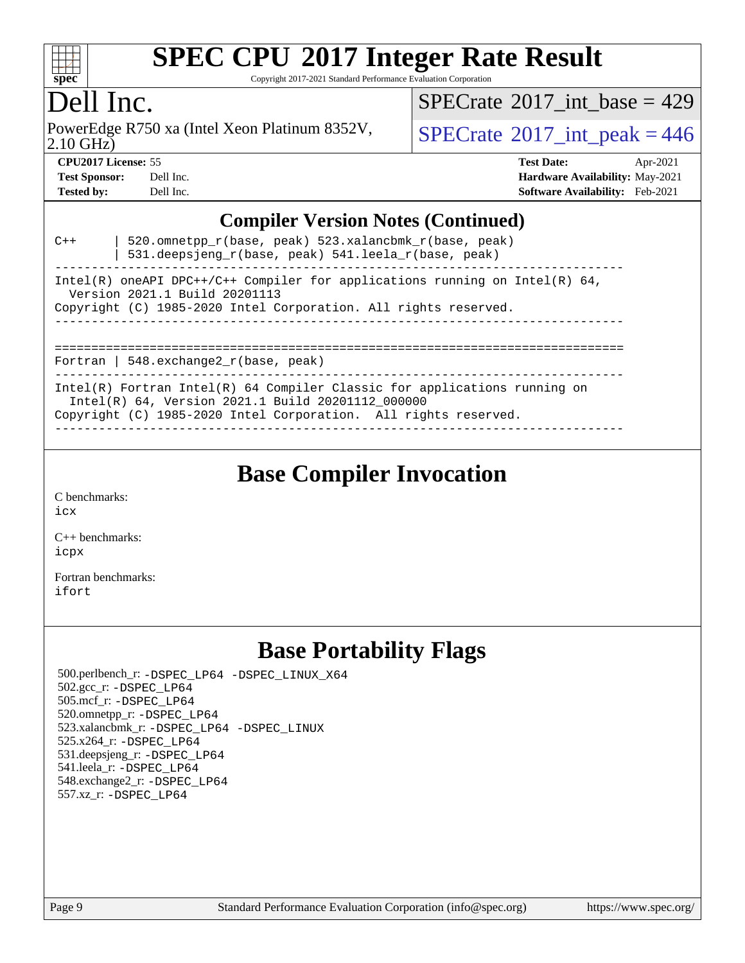

Copyright 2017-2021 Standard Performance Evaluation Corporation

# Dell Inc.

2.10 GHz) PowerEdge R750 xa (Intel Xeon Platinum 8352V,  $\vert$  [SPECrate](http://www.spec.org/auto/cpu2017/Docs/result-fields.html#SPECrate2017intpeak)<sup>®</sup>[2017\\_int\\_peak = 4](http://www.spec.org/auto/cpu2017/Docs/result-fields.html#SPECrate2017intpeak)46

 $SPECTate@2017_int\_base = 429$ 

| <b>Test Sponsor:</b> | Dell Inc. |
|----------------------|-----------|
| <b>Tested by:</b>    | Dell Inc. |

**[CPU2017 License:](http://www.spec.org/auto/cpu2017/Docs/result-fields.html#CPU2017License)** 55 **[Test Date:](http://www.spec.org/auto/cpu2017/Docs/result-fields.html#TestDate)** Apr-2021 **[Hardware Availability:](http://www.spec.org/auto/cpu2017/Docs/result-fields.html#HardwareAvailability)** May-2021 **[Software Availability:](http://www.spec.org/auto/cpu2017/Docs/result-fields.html#SoftwareAvailability)** Feb-2021

#### **[Compiler Version Notes \(Continued\)](http://www.spec.org/auto/cpu2017/Docs/result-fields.html#CompilerVersionNotes)**

| $C++$                                                                                                           | 520.omnetpp $r(base, peak)$ 523.xalancbmk $r(base, peak)$<br>531.deepsjeng_r(base, peak) 541.leela_r(base, peak)                                                                                    |  |  |  |
|-----------------------------------------------------------------------------------------------------------------|-----------------------------------------------------------------------------------------------------------------------------------------------------------------------------------------------------|--|--|--|
| Intel(R) oneAPI DPC++/C++ Compiler for applications running on Intel(R) $64$ ,<br>Version 2021.1 Build 20201113 |                                                                                                                                                                                                     |  |  |  |
|                                                                                                                 | Copyright (C) 1985-2020 Intel Corporation. All rights reserved.                                                                                                                                     |  |  |  |
|                                                                                                                 | Fortran   548. $exchange2 r(base, peak)$                                                                                                                                                            |  |  |  |
|                                                                                                                 | $Intel(R)$ Fortran Intel(R) 64 Compiler Classic for applications running on<br>Intel(R) 64, Version 2021.1 Build 20201112 000000<br>Copyright (C) 1985-2020 Intel Corporation. All rights reserved. |  |  |  |

------------------------------------------------------------------------------

### **[Base Compiler Invocation](http://www.spec.org/auto/cpu2017/Docs/result-fields.html#BaseCompilerInvocation)**

[C benchmarks](http://www.spec.org/auto/cpu2017/Docs/result-fields.html#Cbenchmarks): [icx](http://www.spec.org/cpu2017/results/res2021q2/cpu2017-20210426-25744.flags.html#user_CCbase_intel_icx_fe2d28d19ae2a5db7c42fe0f2a2aed77cb715edd4aeb23434404a8be6683fe239869bb6ca8154ca98265c2e3b9226a719a0efe2953a4a7018c379b7010ccf087)

[C++ benchmarks:](http://www.spec.org/auto/cpu2017/Docs/result-fields.html#CXXbenchmarks) [icpx](http://www.spec.org/cpu2017/results/res2021q2/cpu2017-20210426-25744.flags.html#user_CXXbase_intel_icpx_1e918ed14c436bf4b9b7c8bcdd51d4539fc71b3df010bd1e9f8732d9c34c2b2914e48204a846820f3c0ebb4095dea797a5c30b458ac0b6dffac65d78f781f5ca)

[Fortran benchmarks](http://www.spec.org/auto/cpu2017/Docs/result-fields.html#Fortranbenchmarks): [ifort](http://www.spec.org/cpu2017/results/res2021q2/cpu2017-20210426-25744.flags.html#user_FCbase_intel_ifort_8111460550e3ca792625aed983ce982f94888b8b503583aa7ba2b8303487b4d8a21a13e7191a45c5fd58ff318f48f9492884d4413fa793fd88dd292cad7027ca)

### **[Base Portability Flags](http://www.spec.org/auto/cpu2017/Docs/result-fields.html#BasePortabilityFlags)**

 500.perlbench\_r: [-DSPEC\\_LP64](http://www.spec.org/cpu2017/results/res2021q2/cpu2017-20210426-25744.flags.html#b500.perlbench_r_basePORTABILITY_DSPEC_LP64) [-DSPEC\\_LINUX\\_X64](http://www.spec.org/cpu2017/results/res2021q2/cpu2017-20210426-25744.flags.html#b500.perlbench_r_baseCPORTABILITY_DSPEC_LINUX_X64) 502.gcc\_r: [-DSPEC\\_LP64](http://www.spec.org/cpu2017/results/res2021q2/cpu2017-20210426-25744.flags.html#suite_basePORTABILITY502_gcc_r_DSPEC_LP64) 505.mcf\_r: [-DSPEC\\_LP64](http://www.spec.org/cpu2017/results/res2021q2/cpu2017-20210426-25744.flags.html#suite_basePORTABILITY505_mcf_r_DSPEC_LP64) 520.omnetpp\_r: [-DSPEC\\_LP64](http://www.spec.org/cpu2017/results/res2021q2/cpu2017-20210426-25744.flags.html#suite_basePORTABILITY520_omnetpp_r_DSPEC_LP64) 523.xalancbmk\_r: [-DSPEC\\_LP64](http://www.spec.org/cpu2017/results/res2021q2/cpu2017-20210426-25744.flags.html#suite_basePORTABILITY523_xalancbmk_r_DSPEC_LP64) [-DSPEC\\_LINUX](http://www.spec.org/cpu2017/results/res2021q2/cpu2017-20210426-25744.flags.html#b523.xalancbmk_r_baseCXXPORTABILITY_DSPEC_LINUX) 525.x264\_r: [-DSPEC\\_LP64](http://www.spec.org/cpu2017/results/res2021q2/cpu2017-20210426-25744.flags.html#suite_basePORTABILITY525_x264_r_DSPEC_LP64) 531.deepsjeng\_r: [-DSPEC\\_LP64](http://www.spec.org/cpu2017/results/res2021q2/cpu2017-20210426-25744.flags.html#suite_basePORTABILITY531_deepsjeng_r_DSPEC_LP64) 541.leela\_r: [-DSPEC\\_LP64](http://www.spec.org/cpu2017/results/res2021q2/cpu2017-20210426-25744.flags.html#suite_basePORTABILITY541_leela_r_DSPEC_LP64) 548.exchange2\_r: [-DSPEC\\_LP64](http://www.spec.org/cpu2017/results/res2021q2/cpu2017-20210426-25744.flags.html#suite_basePORTABILITY548_exchange2_r_DSPEC_LP64) 557.xz\_r: [-DSPEC\\_LP64](http://www.spec.org/cpu2017/results/res2021q2/cpu2017-20210426-25744.flags.html#suite_basePORTABILITY557_xz_r_DSPEC_LP64)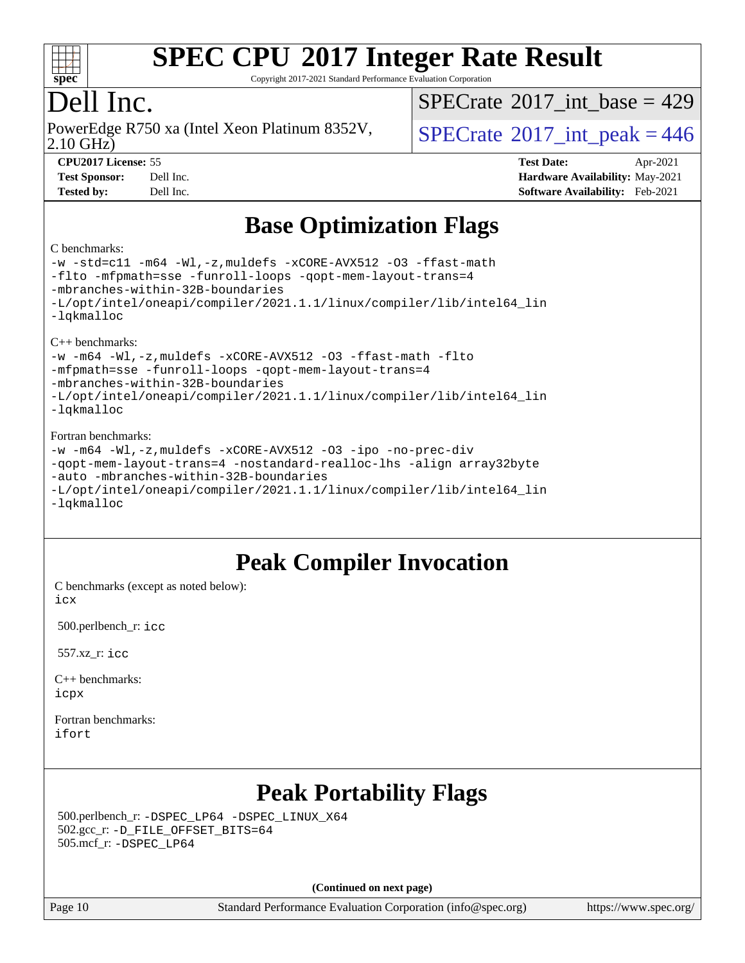

Copyright 2017-2021 Standard Performance Evaluation Corporation

# Dell Inc.

PowerEdge R750 xa (Intel Xeon Platinum 8352V, 2.10 GHz)

 $SPECTate$ <sup>®</sup>[2017\\_int\\_base =](http://www.spec.org/auto/cpu2017/Docs/result-fields.html#SPECrate2017intbase) 429

 $SPECTate$ <sup>®</sup>[2017\\_int\\_peak = 4](http://www.spec.org/auto/cpu2017/Docs/result-fields.html#SPECrate2017intpeak)46

**[CPU2017 License:](http://www.spec.org/auto/cpu2017/Docs/result-fields.html#CPU2017License)** 55 **[Test Date:](http://www.spec.org/auto/cpu2017/Docs/result-fields.html#TestDate)** Apr-2021 **[Test Sponsor:](http://www.spec.org/auto/cpu2017/Docs/result-fields.html#TestSponsor)** Dell Inc. **[Hardware Availability:](http://www.spec.org/auto/cpu2017/Docs/result-fields.html#HardwareAvailability)** May-2021 **[Tested by:](http://www.spec.org/auto/cpu2017/Docs/result-fields.html#Testedby)** Dell Inc. **[Software Availability:](http://www.spec.org/auto/cpu2017/Docs/result-fields.html#SoftwareAvailability)** Feb-2021

# **[Base Optimization Flags](http://www.spec.org/auto/cpu2017/Docs/result-fields.html#BaseOptimizationFlags)**

#### [C benchmarks](http://www.spec.org/auto/cpu2017/Docs/result-fields.html#Cbenchmarks):

[-w](http://www.spec.org/cpu2017/results/res2021q2/cpu2017-20210426-25744.flags.html#user_CCbase_supress_warning_66fb2c4e5c1dd10f38bdd29623979399e5ae75ae6e5453792d82ef66afed381df4a8602f92cac8d2ea0fffa7b93b4b1ccb9ecad4af01c9b2fe338b2082ae3859) [-std=c11](http://www.spec.org/cpu2017/results/res2021q2/cpu2017-20210426-25744.flags.html#user_CCbase_std-icc-std_0e1c27790398a4642dfca32ffe6c27b5796f9c2d2676156f2e42c9c44eaad0c049b1cdb667a270c34d979996257aeb8fc440bfb01818dbc9357bd9d174cb8524) [-m64](http://www.spec.org/cpu2017/results/res2021q2/cpu2017-20210426-25744.flags.html#user_CCbase_m64-icc) [-Wl,-z,muldefs](http://www.spec.org/cpu2017/results/res2021q2/cpu2017-20210426-25744.flags.html#user_CCbase_link_force_multiple1_b4cbdb97b34bdee9ceefcfe54f4c8ea74255f0b02a4b23e853cdb0e18eb4525ac79b5a88067c842dd0ee6996c24547a27a4b99331201badda8798ef8a743f577) [-xCORE-AVX512](http://www.spec.org/cpu2017/results/res2021q2/cpu2017-20210426-25744.flags.html#user_CCbase_f-xCORE-AVX512) [-O3](http://www.spec.org/cpu2017/results/res2021q2/cpu2017-20210426-25744.flags.html#user_CCbase_f-O3) [-ffast-math](http://www.spec.org/cpu2017/results/res2021q2/cpu2017-20210426-25744.flags.html#user_CCbase_f-ffast-math) [-flto](http://www.spec.org/cpu2017/results/res2021q2/cpu2017-20210426-25744.flags.html#user_CCbase_f-flto) [-mfpmath=sse](http://www.spec.org/cpu2017/results/res2021q2/cpu2017-20210426-25744.flags.html#user_CCbase_f-mfpmath_70eb8fac26bde974f8ab713bc9086c5621c0b8d2f6c86f38af0bd7062540daf19db5f3a066d8c6684be05d84c9b6322eb3b5be6619d967835195b93d6c02afa1) [-funroll-loops](http://www.spec.org/cpu2017/results/res2021q2/cpu2017-20210426-25744.flags.html#user_CCbase_f-funroll-loops) [-qopt-mem-layout-trans=4](http://www.spec.org/cpu2017/results/res2021q2/cpu2017-20210426-25744.flags.html#user_CCbase_f-qopt-mem-layout-trans_fa39e755916c150a61361b7846f310bcdf6f04e385ef281cadf3647acec3f0ae266d1a1d22d972a7087a248fd4e6ca390a3634700869573d231a252c784941a8) [-mbranches-within-32B-boundaries](http://www.spec.org/cpu2017/results/res2021q2/cpu2017-20210426-25744.flags.html#user_CCbase_f-mbranches-within-32B-boundaries) [-L/opt/intel/oneapi/compiler/2021.1.1/linux/compiler/lib/intel64\\_lin](http://www.spec.org/cpu2017/results/res2021q2/cpu2017-20210426-25744.flags.html#user_CCbase_linkpath_f3ac96bc44eb3356c66274e76f12ce7989555e6431aa425d8bf37251b5a0a8e4f20d385a762420f3e0cdf627bb737484454017ddfa67f55a42ce17058c8be12d) [-lqkmalloc](http://www.spec.org/cpu2017/results/res2021q2/cpu2017-20210426-25744.flags.html#user_CCbase_qkmalloc_link_lib_79a818439969f771c6bc311cfd333c00fc099dad35c030f5aab9dda831713d2015205805422f83de8875488a2991c0a156aaa600e1f9138f8fc37004abc96dc5) [C++ benchmarks](http://www.spec.org/auto/cpu2017/Docs/result-fields.html#CXXbenchmarks): [-w](http://www.spec.org/cpu2017/results/res2021q2/cpu2017-20210426-25744.flags.html#user_CXXbase_supress_warning_66fb2c4e5c1dd10f38bdd29623979399e5ae75ae6e5453792d82ef66afed381df4a8602f92cac8d2ea0fffa7b93b4b1ccb9ecad4af01c9b2fe338b2082ae3859) [-m64](http://www.spec.org/cpu2017/results/res2021q2/cpu2017-20210426-25744.flags.html#user_CXXbase_m64-icc) [-Wl,-z,muldefs](http://www.spec.org/cpu2017/results/res2021q2/cpu2017-20210426-25744.flags.html#user_CXXbase_link_force_multiple1_b4cbdb97b34bdee9ceefcfe54f4c8ea74255f0b02a4b23e853cdb0e18eb4525ac79b5a88067c842dd0ee6996c24547a27a4b99331201badda8798ef8a743f577) [-xCORE-AVX512](http://www.spec.org/cpu2017/results/res2021q2/cpu2017-20210426-25744.flags.html#user_CXXbase_f-xCORE-AVX512) [-O3](http://www.spec.org/cpu2017/results/res2021q2/cpu2017-20210426-25744.flags.html#user_CXXbase_f-O3) [-ffast-math](http://www.spec.org/cpu2017/results/res2021q2/cpu2017-20210426-25744.flags.html#user_CXXbase_f-ffast-math) [-flto](http://www.spec.org/cpu2017/results/res2021q2/cpu2017-20210426-25744.flags.html#user_CXXbase_f-flto) [-mfpmath=sse](http://www.spec.org/cpu2017/results/res2021q2/cpu2017-20210426-25744.flags.html#user_CXXbase_f-mfpmath_70eb8fac26bde974f8ab713bc9086c5621c0b8d2f6c86f38af0bd7062540daf19db5f3a066d8c6684be05d84c9b6322eb3b5be6619d967835195b93d6c02afa1) [-funroll-loops](http://www.spec.org/cpu2017/results/res2021q2/cpu2017-20210426-25744.flags.html#user_CXXbase_f-funroll-loops) [-qopt-mem-layout-trans=4](http://www.spec.org/cpu2017/results/res2021q2/cpu2017-20210426-25744.flags.html#user_CXXbase_f-qopt-mem-layout-trans_fa39e755916c150a61361b7846f310bcdf6f04e385ef281cadf3647acec3f0ae266d1a1d22d972a7087a248fd4e6ca390a3634700869573d231a252c784941a8) [-mbranches-within-32B-boundaries](http://www.spec.org/cpu2017/results/res2021q2/cpu2017-20210426-25744.flags.html#user_CXXbase_f-mbranches-within-32B-boundaries) [-L/opt/intel/oneapi/compiler/2021.1.1/linux/compiler/lib/intel64\\_lin](http://www.spec.org/cpu2017/results/res2021q2/cpu2017-20210426-25744.flags.html#user_CXXbase_linkpath_f3ac96bc44eb3356c66274e76f12ce7989555e6431aa425d8bf37251b5a0a8e4f20d385a762420f3e0cdf627bb737484454017ddfa67f55a42ce17058c8be12d) [-lqkmalloc](http://www.spec.org/cpu2017/results/res2021q2/cpu2017-20210426-25744.flags.html#user_CXXbase_qkmalloc_link_lib_79a818439969f771c6bc311cfd333c00fc099dad35c030f5aab9dda831713d2015205805422f83de8875488a2991c0a156aaa600e1f9138f8fc37004abc96dc5) [Fortran benchmarks:](http://www.spec.org/auto/cpu2017/Docs/result-fields.html#Fortranbenchmarks) [-w](http://www.spec.org/cpu2017/results/res2021q2/cpu2017-20210426-25744.flags.html#user_FCbase_supress_warning_66fb2c4e5c1dd10f38bdd29623979399e5ae75ae6e5453792d82ef66afed381df4a8602f92cac8d2ea0fffa7b93b4b1ccb9ecad4af01c9b2fe338b2082ae3859) [-m64](http://www.spec.org/cpu2017/results/res2021q2/cpu2017-20210426-25744.flags.html#user_FCbase_m64-icc) [-Wl,-z,muldefs](http://www.spec.org/cpu2017/results/res2021q2/cpu2017-20210426-25744.flags.html#user_FCbase_link_force_multiple1_b4cbdb97b34bdee9ceefcfe54f4c8ea74255f0b02a4b23e853cdb0e18eb4525ac79b5a88067c842dd0ee6996c24547a27a4b99331201badda8798ef8a743f577) [-xCORE-AVX512](http://www.spec.org/cpu2017/results/res2021q2/cpu2017-20210426-25744.flags.html#user_FCbase_f-xCORE-AVX512) [-O3](http://www.spec.org/cpu2017/results/res2021q2/cpu2017-20210426-25744.flags.html#user_FCbase_f-O3) [-ipo](http://www.spec.org/cpu2017/results/res2021q2/cpu2017-20210426-25744.flags.html#user_FCbase_f-ipo) [-no-prec-div](http://www.spec.org/cpu2017/results/res2021q2/cpu2017-20210426-25744.flags.html#user_FCbase_f-no-prec-div) [-qopt-mem-layout-trans=4](http://www.spec.org/cpu2017/results/res2021q2/cpu2017-20210426-25744.flags.html#user_FCbase_f-qopt-mem-layout-trans_fa39e755916c150a61361b7846f310bcdf6f04e385ef281cadf3647acec3f0ae266d1a1d22d972a7087a248fd4e6ca390a3634700869573d231a252c784941a8) [-nostandard-realloc-lhs](http://www.spec.org/cpu2017/results/res2021q2/cpu2017-20210426-25744.flags.html#user_FCbase_f_2003_std_realloc_82b4557e90729c0f113870c07e44d33d6f5a304b4f63d4c15d2d0f1fab99f5daaed73bdb9275d9ae411527f28b936061aa8b9c8f2d63842963b95c9dd6426b8a) [-align array32byte](http://www.spec.org/cpu2017/results/res2021q2/cpu2017-20210426-25744.flags.html#user_FCbase_align_array32byte_b982fe038af199962ba9a80c053b8342c548c85b40b8e86eb3cc33dee0d7986a4af373ac2d51c3f7cf710a18d62fdce2948f201cd044323541f22fc0fffc51b6) [-auto](http://www.spec.org/cpu2017/results/res2021q2/cpu2017-20210426-25744.flags.html#user_FCbase_f-auto) [-mbranches-within-32B-boundaries](http://www.spec.org/cpu2017/results/res2021q2/cpu2017-20210426-25744.flags.html#user_FCbase_f-mbranches-within-32B-boundaries) [-L/opt/intel/oneapi/compiler/2021.1.1/linux/compiler/lib/intel64\\_lin](http://www.spec.org/cpu2017/results/res2021q2/cpu2017-20210426-25744.flags.html#user_FCbase_linkpath_f3ac96bc44eb3356c66274e76f12ce7989555e6431aa425d8bf37251b5a0a8e4f20d385a762420f3e0cdf627bb737484454017ddfa67f55a42ce17058c8be12d)

[-lqkmalloc](http://www.spec.org/cpu2017/results/res2021q2/cpu2017-20210426-25744.flags.html#user_FCbase_qkmalloc_link_lib_79a818439969f771c6bc311cfd333c00fc099dad35c030f5aab9dda831713d2015205805422f83de8875488a2991c0a156aaa600e1f9138f8fc37004abc96dc5)

### **[Peak Compiler Invocation](http://www.spec.org/auto/cpu2017/Docs/result-fields.html#PeakCompilerInvocation)**

[C benchmarks \(except as noted below\)](http://www.spec.org/auto/cpu2017/Docs/result-fields.html#Cbenchmarksexceptasnotedbelow): [icx](http://www.spec.org/cpu2017/results/res2021q2/cpu2017-20210426-25744.flags.html#user_CCpeak_intel_icx_fe2d28d19ae2a5db7c42fe0f2a2aed77cb715edd4aeb23434404a8be6683fe239869bb6ca8154ca98265c2e3b9226a719a0efe2953a4a7018c379b7010ccf087)

500.perlbench\_r: [icc](http://www.spec.org/cpu2017/results/res2021q2/cpu2017-20210426-25744.flags.html#user_peakCCLD500_perlbench_r_intel_icc_66fc1ee009f7361af1fbd72ca7dcefbb700085f36577c54f309893dd4ec40d12360134090235512931783d35fd58c0460139e722d5067c5574d8eaf2b3e37e92)

557.xz\_r: [icc](http://www.spec.org/cpu2017/results/res2021q2/cpu2017-20210426-25744.flags.html#user_peakCCLD557_xz_r_intel_icc_66fc1ee009f7361af1fbd72ca7dcefbb700085f36577c54f309893dd4ec40d12360134090235512931783d35fd58c0460139e722d5067c5574d8eaf2b3e37e92)

[C++ benchmarks:](http://www.spec.org/auto/cpu2017/Docs/result-fields.html#CXXbenchmarks) [icpx](http://www.spec.org/cpu2017/results/res2021q2/cpu2017-20210426-25744.flags.html#user_CXXpeak_intel_icpx_1e918ed14c436bf4b9b7c8bcdd51d4539fc71b3df010bd1e9f8732d9c34c2b2914e48204a846820f3c0ebb4095dea797a5c30b458ac0b6dffac65d78f781f5ca)

[Fortran benchmarks](http://www.spec.org/auto/cpu2017/Docs/result-fields.html#Fortranbenchmarks): [ifort](http://www.spec.org/cpu2017/results/res2021q2/cpu2017-20210426-25744.flags.html#user_FCpeak_intel_ifort_8111460550e3ca792625aed983ce982f94888b8b503583aa7ba2b8303487b4d8a21a13e7191a45c5fd58ff318f48f9492884d4413fa793fd88dd292cad7027ca)

# **[Peak Portability Flags](http://www.spec.org/auto/cpu2017/Docs/result-fields.html#PeakPortabilityFlags)**

 500.perlbench\_r: [-DSPEC\\_LP64](http://www.spec.org/cpu2017/results/res2021q2/cpu2017-20210426-25744.flags.html#b500.perlbench_r_peakPORTABILITY_DSPEC_LP64) [-DSPEC\\_LINUX\\_X64](http://www.spec.org/cpu2017/results/res2021q2/cpu2017-20210426-25744.flags.html#b500.perlbench_r_peakCPORTABILITY_DSPEC_LINUX_X64) 502.gcc\_r: [-D\\_FILE\\_OFFSET\\_BITS=64](http://www.spec.org/cpu2017/results/res2021q2/cpu2017-20210426-25744.flags.html#user_peakPORTABILITY502_gcc_r_file_offset_bits_64_5ae949a99b284ddf4e95728d47cb0843d81b2eb0e18bdfe74bbf0f61d0b064f4bda2f10ea5eb90e1dcab0e84dbc592acfc5018bc955c18609f94ddb8d550002c) 505.mcf\_r: [-DSPEC\\_LP64](http://www.spec.org/cpu2017/results/res2021q2/cpu2017-20210426-25744.flags.html#suite_peakPORTABILITY505_mcf_r_DSPEC_LP64)

**(Continued on next page)**

Page 10 Standard Performance Evaluation Corporation [\(info@spec.org\)](mailto:info@spec.org) <https://www.spec.org/>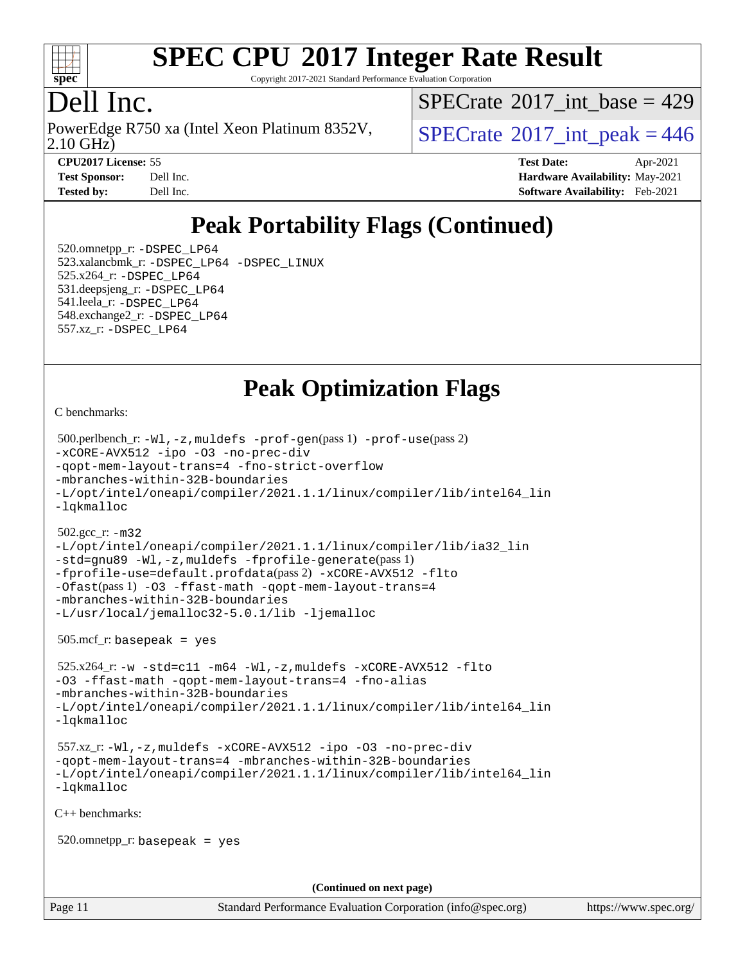

Copyright 2017-2021 Standard Performance Evaluation Corporation

# Dell Inc.

PowerEdge R750 xa (Intel Xeon Platinum 8352V, 2.10 GHz)

 $SPECTate$ <sup>®</sup>[2017\\_int\\_base =](http://www.spec.org/auto/cpu2017/Docs/result-fields.html#SPECrate2017intbase) 429

 $SPECTate$ <sup>®</sup>[2017\\_int\\_peak = 4](http://www.spec.org/auto/cpu2017/Docs/result-fields.html#SPECrate2017intpeak)46

**[CPU2017 License:](http://www.spec.org/auto/cpu2017/Docs/result-fields.html#CPU2017License)** 55 **[Test Date:](http://www.spec.org/auto/cpu2017/Docs/result-fields.html#TestDate)** Apr-2021 **[Test Sponsor:](http://www.spec.org/auto/cpu2017/Docs/result-fields.html#TestSponsor)** Dell Inc. **[Hardware Availability:](http://www.spec.org/auto/cpu2017/Docs/result-fields.html#HardwareAvailability)** May-2021 **[Tested by:](http://www.spec.org/auto/cpu2017/Docs/result-fields.html#Testedby)** Dell Inc. **[Software Availability:](http://www.spec.org/auto/cpu2017/Docs/result-fields.html#SoftwareAvailability)** Feb-2021

# **[Peak Portability Flags \(Continued\)](http://www.spec.org/auto/cpu2017/Docs/result-fields.html#PeakPortabilityFlags)**

 520.omnetpp\_r: [-DSPEC\\_LP64](http://www.spec.org/cpu2017/results/res2021q2/cpu2017-20210426-25744.flags.html#suite_peakPORTABILITY520_omnetpp_r_DSPEC_LP64) 523.xalancbmk\_r: [-DSPEC\\_LP64](http://www.spec.org/cpu2017/results/res2021q2/cpu2017-20210426-25744.flags.html#suite_peakPORTABILITY523_xalancbmk_r_DSPEC_LP64) [-DSPEC\\_LINUX](http://www.spec.org/cpu2017/results/res2021q2/cpu2017-20210426-25744.flags.html#b523.xalancbmk_r_peakCXXPORTABILITY_DSPEC_LINUX) 525.x264\_r: [-DSPEC\\_LP64](http://www.spec.org/cpu2017/results/res2021q2/cpu2017-20210426-25744.flags.html#suite_peakPORTABILITY525_x264_r_DSPEC_LP64) 531.deepsjeng\_r: [-DSPEC\\_LP64](http://www.spec.org/cpu2017/results/res2021q2/cpu2017-20210426-25744.flags.html#suite_peakPORTABILITY531_deepsjeng_r_DSPEC_LP64) 541.leela\_r: [-DSPEC\\_LP64](http://www.spec.org/cpu2017/results/res2021q2/cpu2017-20210426-25744.flags.html#suite_peakPORTABILITY541_leela_r_DSPEC_LP64) 548.exchange2\_r: [-DSPEC\\_LP64](http://www.spec.org/cpu2017/results/res2021q2/cpu2017-20210426-25744.flags.html#suite_peakPORTABILITY548_exchange2_r_DSPEC_LP64) 557.xz\_r: [-DSPEC\\_LP64](http://www.spec.org/cpu2017/results/res2021q2/cpu2017-20210426-25744.flags.html#suite_peakPORTABILITY557_xz_r_DSPEC_LP64)

**[Peak Optimization Flags](http://www.spec.org/auto/cpu2017/Docs/result-fields.html#PeakOptimizationFlags)**

[C benchmarks](http://www.spec.org/auto/cpu2017/Docs/result-fields.html#Cbenchmarks):

```
 500.perlbench_r: -Wl,-z,muldefs -prof-gen(pass 1) -prof-use(pass 2)
-xCORE-AVX512 -ipo -O3 -no-prec-div
-qopt-mem-layout-trans=4 -fno-strict-overflow
-mbranches-within-32B-boundaries
-L/opt/intel/oneapi/compiler/2021.1.1/linux/compiler/lib/intel64_lin
-lqkmalloc
 502.gcc_r: -m32
-L/opt/intel/oneapi/compiler/2021.1.1/linux/compiler/lib/ia32_lin
-std=gnu89 -Wl,-z,muldefs -fprofile-generate(pass 1)
-fprofile-use=default.profdata(pass 2) -xCORE-AVX512 -flto
-Ofast(pass 1) -O3 -ffast-math -qopt-mem-layout-trans=4
-mbranches-within-32B-boundaries
-L/usr/local/jemalloc32-5.0.1/lib -ljemalloc
 505.mcf_r: basepeak = yes
 525.x264_r: -w -std=c11 -m64 -Wl,-z,muldefs -xCORE-AVX512 -flto
-O3 -ffast-math -qopt-mem-layout-trans=4 -fno-alias
-mbranches-within-32B-boundaries
-L/opt/intel/oneapi/compiler/2021.1.1/linux/compiler/lib/intel64_lin
-lqkmalloc
 557.xz_r: -Wl,-z,muldefs -xCORE-AVX512 -ipo -O3 -no-prec-div
-qopt-mem-layout-trans=4 -mbranches-within-32B-boundaries
-L/opt/intel/oneapi/compiler/2021.1.1/linux/compiler/lib/intel64_lin
-lqkmalloc
C++ benchmarks: 
 520.omnetpp_r: basepeak = yes
                                     (Continued on next page)
```